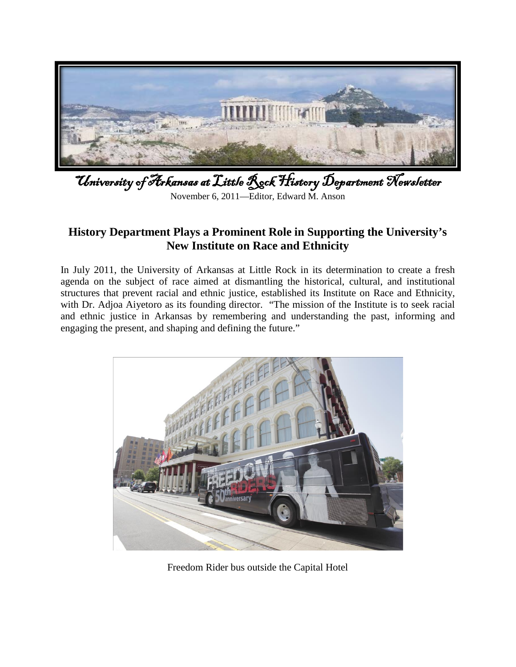

University of Arkansas at Little Rock History Department Newsletter November 6, 2011—Editor, Edward M. Anson

# **History Department Plays a Prominent Role in Supporting the University's New Institute on Race and Ethnicity**

In July 2011, the University of Arkansas at Little Rock in its determination to create a fresh agenda on the subject of race aimed at dismantling the historical, cultural, and institutional structures that prevent racial and ethnic justice, established its Institute on Race and Ethnicity, with Dr. Adjoa Aiyetoro as its founding director. "The mission of the Institute is to seek racial and ethnic justice in Arkansas by remembering and understanding the past, informing and engaging the present, and shaping and defining the future."



Freedom Rider bus outside the Capital Hotel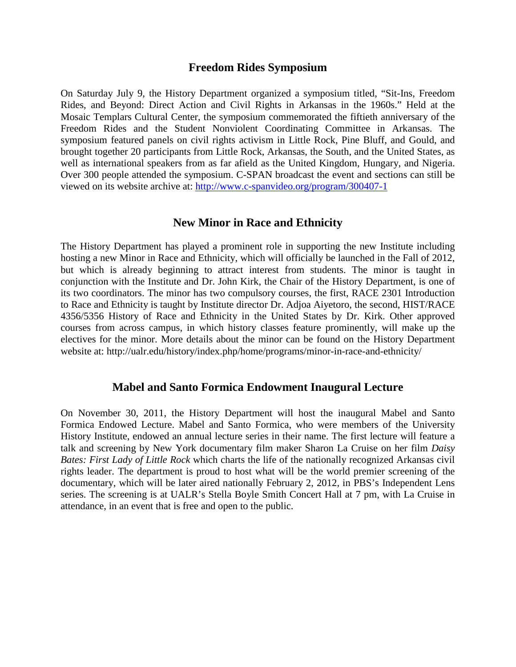#### **Freedom Rides Symposium**

On Saturday July 9, the History Department organized a symposium titled, "Sit-Ins, Freedom Rides, and Beyond: Direct Action and Civil Rights in Arkansas in the 1960s." Held at the Mosaic Templars Cultural Center, the symposium commemorated the fiftieth anniversary of the Freedom Rides and the Student Nonviolent Coordinating Committee in Arkansas. The symposium featured panels on civil rights activism in Little Rock, Pine Bluff, and Gould, and brought together 20 participants from Little Rock, Arkansas, the South, and the United States, as well as international speakers from as far afield as the United Kingdom, Hungary, and Nigeria. Over 300 people attended the symposium. C-SPAN broadcast the event and sections can still be viewed on its website archive at:<http://www.c-spanvideo.org/program/300407-1>

#### **New Minor in Race and Ethnicity**

The History Department has played a prominent role in supporting the new Institute including hosting a new Minor in Race and Ethnicity, which will officially be launched in the Fall of 2012, but which is already beginning to attract interest from students. The minor is taught in conjunction with the Institute and Dr. John Kirk, the Chair of the History Department, is one of its two coordinators. The minor has two compulsory courses, the first, RACE 2301 Introduction to Race and Ethnicity is taught by Institute director Dr. Adjoa Aiyetoro, the second, HIST/RACE 4356/5356 History of Race and Ethnicity in the United States by Dr. Kirk. Other approved courses from across campus, in which history classes feature prominently, will make up the electives for the minor. More details about the minor can be found on the History Department website at: http://ualr.edu/history/index.php/home/programs/minor-in-race-and-ethnicity/

#### **Mabel and Santo Formica Endowment Inaugural Lecture**

On November 30, 2011, the History Department will host the inaugural Mabel and Santo Formica Endowed Lecture. Mabel and Santo Formica, who were members of the University History Institute, endowed an annual lecture series in their name. The first lecture will feature a talk and screening by New York documentary film maker Sharon La Cruise on her film *Daisy Bates: First Lady of Little Rock* which charts the life of the nationally recognized Arkansas civil rights leader. The department is proud to host what will be the world premier screening of the documentary, which will be later aired nationally February 2, 2012, in PBS's Independent Lens series. The screening is at UALR's Stella Boyle Smith Concert Hall at 7 pm, with La Cruise in attendance, in an event that is free and open to the public.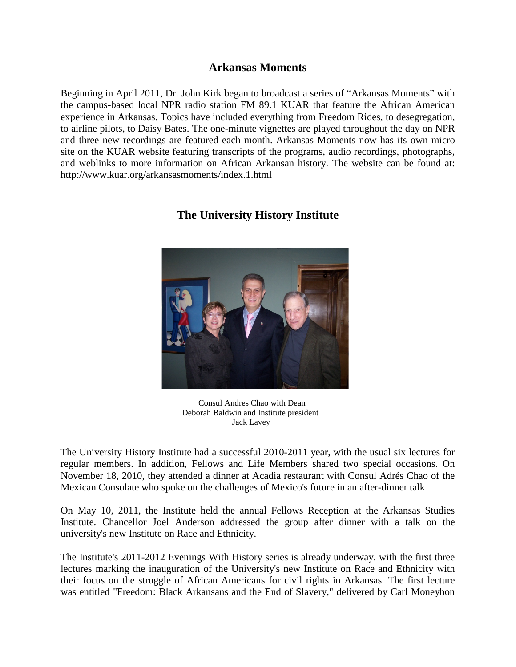### **Arkansas Moments**

Beginning in April 2011, Dr. John Kirk began to broadcast a series of "Arkansas Moments" with the campus-based local NPR radio station FM 89.1 KUAR that feature the African American experience in Arkansas. Topics have included everything from Freedom Rides, to desegregation, to airline pilots, to Daisy Bates. The one-minute vignettes are played throughout the day on NPR and three new recordings are featured each month. Arkansas Moments now has its own micro site on the KUAR website featuring transcripts of the programs, audio recordings, photographs, and weblinks to more information on African Arkansan history. The website can be found at: http://www.kuar.org/arkansasmoments/index.1.html



# **The University History Institute**

 Consul Andres Chao with Dean Deborah Baldwin and Institute president Jack Lavey

The University History Institute had a successful 2010-2011 year, with the usual six lectures for regular members. In addition, Fellows and Life Members shared two special occasions. On November 18, 2010, they attended a dinner at Acadia restaurant with Consul Adrés Chao of the Mexican Consulate who spoke on the challenges of Mexico's future in an after-dinner talk

On May 10, 2011, the Institute held the annual Fellows Reception at the Arkansas Studies Institute. Chancellor Joel Anderson addressed the group after dinner with a talk on the university's new Institute on Race and Ethnicity.

The Institute's 2011-2012 Evenings With History series is already underway. with the first three lectures marking the inauguration of the University's new Institute on Race and Ethnicity with their focus on the struggle of African Americans for civil rights in Arkansas. The first lecture was entitled "Freedom: Black Arkansans and the End of Slavery," delivered by Carl Moneyhon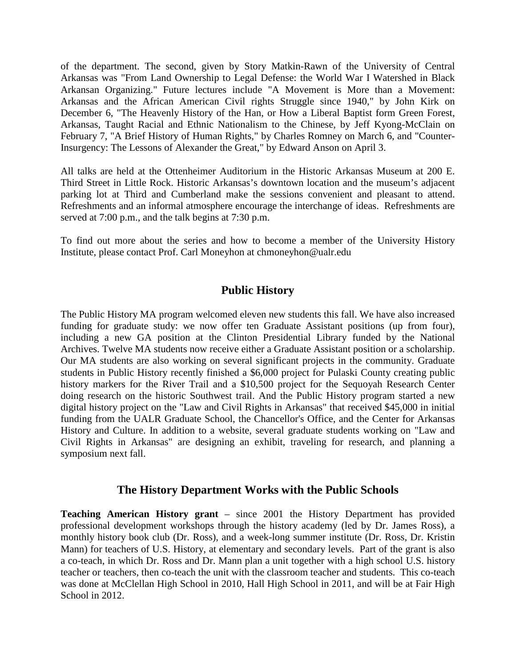of the department. The second, given by Story Matkin-Rawn of the University of Central Arkansas was "From Land Ownership to Legal Defense: the World War I Watershed in Black Arkansan Organizing." Future lectures include "A Movement is More than a Movement: Arkansas and the African American Civil rights Struggle since 1940," by John Kirk on December 6, "The Heavenly History of the Han, or How a Liberal Baptist form Green Forest, Arkansas, Taught Racial and Ethnic Nationalism to the Chinese, by Jeff Kyong-McClain on February 7, "A Brief History of Human Rights," by Charles Romney on March 6, and "Counter-Insurgency: The Lessons of Alexander the Great," by Edward Anson on April 3.

All talks are held at the Ottenheimer Auditorium in the Historic Arkansas Museum at 200 E. Third Street in Little Rock. Historic Arkansas's downtown location and the museum's adjacent parking lot at Third and Cumberland make the sessions convenient and pleasant to attend. Refreshments and an informal atmosphere encourage the interchange of ideas. Refreshments are served at 7:00 p.m., and the talk begins at 7:30 p.m.

To find out more about the series and how to become a member of the University History Institute, please contact Prof. Carl Moneyhon at chmoneyhon@ualr.edu

## **Public History**

The Public History MA program welcomed eleven new students this fall. We have also increased funding for graduate study: we now offer ten Graduate Assistant positions (up from four), including a new GA position at the Clinton Presidential Library funded by the National Archives. Twelve MA students now receive either a Graduate Assistant position or a scholarship. Our MA students are also working on several significant projects in the community. Graduate students in Public History recently finished a \$6,000 project for Pulaski County creating public history markers for the River Trail and a \$10,500 project for the Sequoyah Research Center doing research on the historic Southwest trail. And the Public History program started a new digital history project on the "Law and Civil Rights in Arkansas" that received \$45,000 in initial funding from the UALR Graduate School, the Chancellor's Office, and the Center for Arkansas History and Culture. In addition to a website, several graduate students working on "Law and Civil Rights in Arkansas" are designing an exhibit, traveling for research, and planning a symposium next fall.

## **The History Department Works with the Public Schools**

**Teaching American History grant** – since 2001 the History Department has provided professional development workshops through the history academy (led by Dr. James Ross), a monthly history book club (Dr. Ross), and a week-long summer institute (Dr. Ross, Dr. Kristin Mann) for teachers of U.S. History, at elementary and secondary levels. Part of the grant is also a co-teach, in which Dr. Ross and Dr. Mann plan a unit together with a high school U.S. history teacher or teachers, then co-teach the unit with the classroom teacher and students. This co-teach was done at McClellan High School in 2010, Hall High School in 2011, and will be at Fair High School in 2012.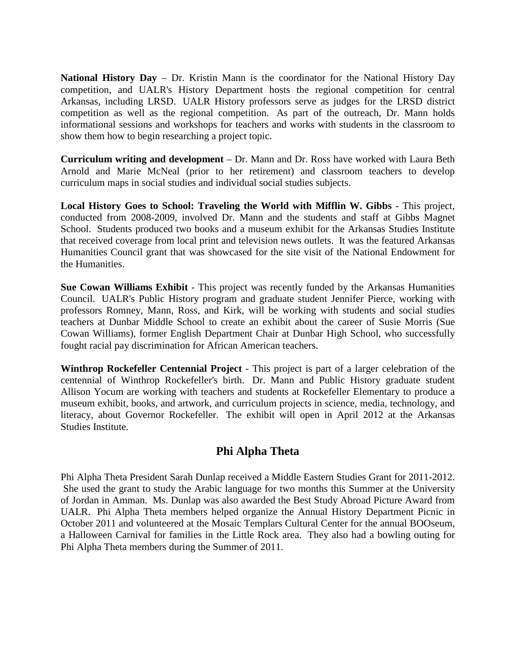**National History Day** – Dr. Kristin Mann is the coordinator for the National History Day competition, and UALR's History Department hosts the regional competition for central Arkansas, including LRSD. UALR History professors serve as judges for the LRSD district competition as well as the regional competition. As part of the outreach, Dr. Mann holds informational sessions and workshops for teachers and works with students in the classroom to show them how to begin researching a project topic.

**Curriculum writing and development** – Dr. Mann and Dr. Ross have worked with Laura Beth Arnold and Marie McNeal (prior to her retirement) and classroom teachers to develop curriculum maps in social studies and individual social studies subjects.

**Local History Goes to School: Traveling the World with Mifflin W. Gibbs** - This project, conducted from 2008-2009, involved Dr. Mann and the students and staff at Gibbs Magnet School. Students produced two books and a museum exhibit for the Arkansas Studies Institute that received coverage from local print and television news outlets. It was the featured Arkansas Humanities Council grant that was showcased for the site visit of the National Endowment for the Humanities.

**Sue Cowan Williams Exhibit** - This project was recently funded by the Arkansas Humanities Council. UALR's Public History program and graduate student Jennifer Pierce, working with professors Romney, Mann, Ross, and Kirk, will be working with students and social studies teachers at Dunbar Middle School to create an exhibit about the career of Susie Morris (Sue Cowan Williams), former English Department Chair at Dunbar High School, who successfully fought racial pay discrimination for African American teachers.

**Winthrop Rockefeller Centennial Project** - This project is part of a larger celebration of the centennial of Winthrop Rockefeller's birth. Dr. Mann and Public History graduate student Allison Yocum are working with teachers and students at Rockefeller Elementary to produce a museum exhibit, books, and artwork, and curriculum projects in science, media, technology, and literacy, about Governor Rockefeller. The exhibit will open in April 2012 at the Arkansas Studies Institute.

## **Phi Alpha Theta**

Phi Alpha Theta President Sarah Dunlap received a Middle Eastern Studies Grant for 2011-2012. She used the grant to study the Arabic language for two months this Summer at the University of Jordan in Amman. Ms. Dunlap was also awarded the Best Study Abroad Picture Award from UALR. Phi Alpha Theta members helped organize the Annual History Department Picnic in October 2011 and volunteered at the Mosaic Templars Cultural Center for the annual BOOseum, a Halloween Carnival for families in the Little Rock area. They also had a bowling outing for Phi Alpha Theta members during the Summer of 2011.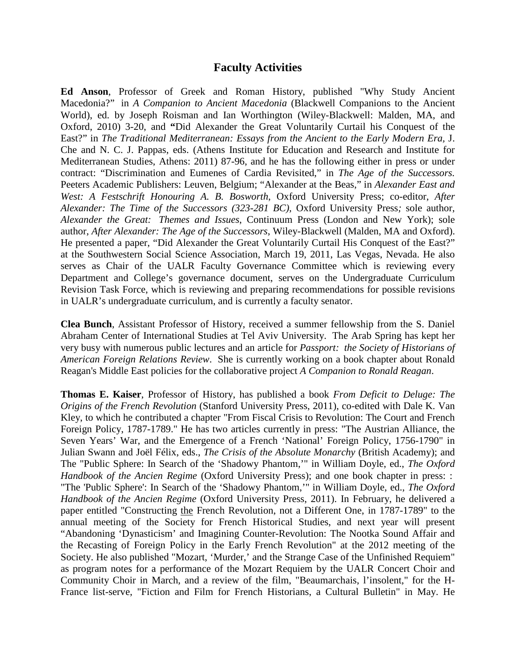### **Faculty Activities**

**Ed Anson**, Professor of Greek and Roman History, published "Why Study Ancient Macedonia?" in *A Companion to Ancient Macedonia* (Blackwell Companions to the Ancient World), ed. by Joseph Roisman and Ian Worthington (Wiley-Blackwell: Malden, MA, and Oxford, 2010) 3-20, and **"**Did Alexander the Great Voluntarily Curtail his Conquest of the East?" in *The Traditional Mediterranean: Essays from the Ancient to the Early Modern Era,* J. Che and N. C. J. Pappas, eds. (Athens Institute for Education and Research and Institute for Mediterranean Studies, Athens: 2011) 87-96, and he has the following either in press or under contract: "Discrimination and Eumenes of Cardia Revisited," in *The Age of the Successors.*  Peeters Academic Publishers: Leuven, Belgium; "Alexander at the Beas," in *Alexander East and West: A Festschrift Honouring A. B. Bosworth*, Oxford University Press; co-editor, *After Alexander: The Time of the Successors (323-281 BC),* Oxford University Press*;* sole author, *Alexander the Great: Themes and Issues*, Continuum Press (London and New York); sole author, *After Alexander: The Age of the Successors*, Wiley-Blackwell (Malden, MA and Oxford). He presented a paper, "Did Alexander the Great Voluntarily Curtail His Conquest of the East?" at the Southwestern Social Science Association, March 19, 2011, Las Vegas, Nevada. He also serves as Chair of the UALR Faculty Governance Committee which is reviewing every Department and College's governance document, serves on the Undergraduate Curriculum Revision Task Force, which is reviewing and preparing recommendations for possible revisions in UALR's undergraduate curriculum, and is currently a faculty senator.

**Clea Bunch**, Assistant Professor of History, received a summer fellowship from the S. Daniel Abraham Center of International Studies at Tel Aviv University. The Arab Spring has kept her very busy with numerous public lectures and an article for *Passport: the Society of Historians of American Foreign Relations Review*. She is currently working on a book chapter about Ronald Reagan's Middle East policies for the collaborative project *A Companion to Ronald Reagan*.

**Thomas E. Kaiser**, Professor of History, has published a book *From Deficit to Deluge: The Origins of the French Revolution* (Stanford University Press, 2011), co-edited with Dale K. Van Kley, to which he contributed a chapter "From Fiscal Crisis to Revolution: The Court and French Foreign Policy, 1787-1789." He has two articles currently in press: "The Austrian Alliance, the Seven Years' War, and the Emergence of a French 'National' Foreign Policy, 1756-1790" in Julian Swann and Joël Félix, eds., *The Crisis of the Absolute Monarchy* (British Academy); and The "Public Sphere: In Search of the 'Shadowy Phantom,'" in William Doyle, ed., *The Oxford Handbook of the Ancien Regime* (Oxford University Press); and one book chapter in press: : "The 'Public Sphere': In Search of the 'Shadowy Phantom,'" in William Doyle, ed., *The Oxford Handbook of the Ancien Regime* (Oxford University Press, 2011). In February, he delivered a paper entitled "Constructing the French Revolution, not a Different One, in 1787-1789" to the annual meeting of the Society for French Historical Studies, and next year will present "Abandoning 'Dynasticism' and Imagining Counter-Revolution: The Nootka Sound Affair and the Recasting of Foreign Policy in the Early French Revolution" at the 2012 meeting of the Society. He also published "Mozart, 'Murder,' and the Strange Case of the Unfinished Requiem" as program notes for a performance of the Mozart Requiem by the UALR Concert Choir and Community Choir in March, and a review of the film, "Beaumarchais, l'insolent," for the H-France list-serve, "Fiction and Film for French Historians, a Cultural Bulletin" in May. He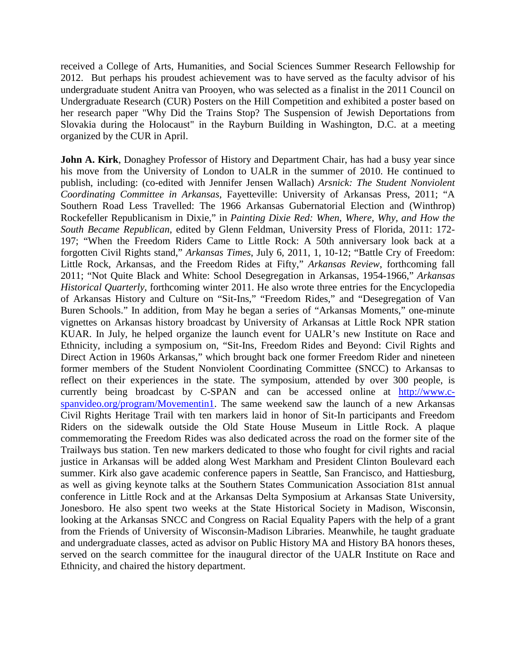received a College of Arts, Humanities, and Social Sciences Summer Research Fellowship for 2012. But perhaps his proudest achievement was to have served as the faculty advisor of his undergraduate student Anitra van Prooyen, who was selected as a finalist in the 2011 Council on Undergraduate Research (CUR) Posters on the Hill Competition and exhibited a poster based on her research paper "Why Did the Trains Stop? The Suspension of Jewish Deportations from Slovakia during the Holocaust" in the Rayburn Building in Washington, D.C. at a meeting organized by the CUR in April.

**John A. Kirk**, Donaghey Professor of History and Department Chair, has had a busy year since his move from the University of London to UALR in the summer of 2010. He continued to publish, including: (co-edited with Jennifer Jensen Wallach) *Arsnick: The Student Nonviolent Coordinating Committee in Arkansas,* Fayetteville: University of Arkansas Press, 2011; "A Southern Road Less Travelled: The 1966 Arkansas Gubernatorial Election and (Winthrop) Rockefeller Republicanism in Dixie," in *Painting Dixie Red: When, Where, Why, and How the South Became Republican*, edited by Glenn Feldman, University Press of Florida, 2011: 172- 197; "When the Freedom Riders Came to Little Rock: A 50th anniversary look back at a forgotten Civil Rights stand," *Arkansas Times*, July 6, 2011, 1, 10-12; "Battle Cry of Freedom: Little Rock, Arkansas, and the Freedom Rides at Fifty," *Arkansas Review*, forthcoming fall 2011; "Not Quite Black and White: School Desegregation in Arkansas, 1954-1966," *Arkansas Historical Quarterly*, forthcoming winter 2011. He also wrote three entries for the Encyclopedia of Arkansas History and Culture on "Sit-Ins," "Freedom Rides," and "Desegregation of Van Buren Schools." In addition, from May he began a series of "Arkansas Moments," one-minute vignettes on Arkansas history broadcast by University of Arkansas at Little Rock NPR station KUAR. In July, he helped organize the launch event for UALR's new Institute on Race and Ethnicity, including a symposium on, "Sit-Ins, Freedom Rides and Beyond: Civil Rights and Direct Action in 1960s Arkansas," which brought back one former Freedom Rider and nineteen former members of the Student Nonviolent Coordinating Committee (SNCC) to Arkansas to reflect on their experiences in the state. The symposium, attended by over 300 people, is currently being broadcast by C-SPAN and can be accessed online at [http://www.c](http://www.c-spanvideo.org/program/Movementin1)[spanvideo.org/program/Movementin1.](http://www.c-spanvideo.org/program/Movementin1) The same weekend saw the launch of a new Arkansas Civil Rights Heritage Trail with ten markers laid in honor of Sit-In participants and Freedom Riders on the sidewalk outside the Old State House Museum in Little Rock. A plaque commemorating the Freedom Rides was also dedicated across the road on the former site of the Trailways bus station. Ten new markers dedicated to those who fought for civil rights and racial justice in Arkansas will be added along West Markham and President Clinton Boulevard each summer. Kirk also gave academic conference papers in Seattle, San Francisco, and Hattiesburg, as well as giving keynote talks at the Southern States Communication Association 81st annual conference in Little Rock and at the Arkansas Delta Symposium at Arkansas State University, Jonesboro. He also spent two weeks at the State Historical Society in Madison, Wisconsin, looking at the Arkansas SNCC and Congress on Racial Equality Papers with the help of a grant from the Friends of University of Wisconsin-Madison Libraries. Meanwhile, he taught graduate and undergraduate classes, acted as advisor on Public History MA and History BA honors theses, served on the search committee for the inaugural director of the UALR Institute on Race and Ethnicity, and chaired the history department.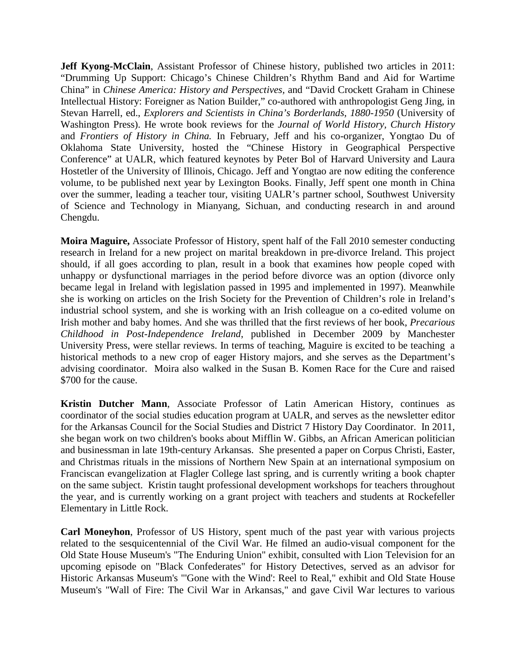**Jeff Kyong-McClain**, Assistant Professor of Chinese history, published two articles in 2011: "Drumming Up Support: Chicago's Chinese Children's Rhythm Band and Aid for Wartime China" in *Chinese America: History and Perspectives,* and "David Crockett Graham in Chinese Intellectual History: Foreigner as Nation Builder," co-authored with anthropologist Geng Jing, in Stevan Harrell, ed., *Explorers and Scientists in China's Borderlands, 1880-1950* (University of Washington Press). He wrote book reviews for the *Journal of World History, Church History* and *Frontiers of History in China.* In February, Jeff and his co-organizer, Yongtao Du of Oklahoma State University, hosted the "Chinese History in Geographical Perspective Conference" at UALR, which featured keynotes by Peter Bol of Harvard University and Laura Hostetler of the University of Illinois, Chicago. Jeff and Yongtao are now editing the conference volume, to be published next year by Lexington Books. Finally, Jeff spent one month in China over the summer, leading a teacher tour, visiting UALR's partner school, Southwest University of Science and Technology in Mianyang, Sichuan, and conducting research in and around Chengdu.

**Moira Maguire,** Associate Professor of History, spent half of the Fall 2010 semester conducting research in Ireland for a new project on marital breakdown in pre-divorce Ireland. This project should, if all goes according to plan, result in a book that examines how people coped with unhappy or dysfunctional marriages in the period before divorce was an option (divorce only became legal in Ireland with legislation passed in 1995 and implemented in 1997). Meanwhile she is working on articles on the Irish Society for the Prevention of Children's role in Ireland's industrial school system, and she is working with an Irish colleague on a co-edited volume on Irish mother and baby homes. And she was thrilled that the first reviews of her book, *Precarious Childhood in Post-Independence Ireland*, published in December 2009 by Manchester University Press, were stellar reviews. In terms of teaching, Maguire is excited to be teaching a historical methods to a new crop of eager History majors, and she serves as the Department's advising coordinator. Moira also walked in the Susan B. Komen Race for the Cure and raised \$700 for the cause.

**Kristin Dutcher Mann**, Associate Professor of Latin American History, continues as coordinator of the social studies education program at UALR, and serves as the newsletter editor for the Arkansas Council for the Social Studies and District 7 History Day Coordinator. In 2011, she began work on two children's books about Mifflin W. Gibbs, an African American politician and businessman in late 19th-century Arkansas. She presented a paper on Corpus Christi, Easter, and Christmas rituals in the missions of Northern New Spain at an international symposium on Franciscan evangelization at Flagler College last spring, and is currently writing a book chapter on the same subject. Kristin taught professional development workshops for teachers throughout the year, and is currently working on a grant project with teachers and students at Rockefeller Elementary in Little Rock.

**Carl Moneyhon**, Professor of US History, spent much of the past year with various projects related to the sesquicentennial of the Civil War. He filmed an audio-visual component for the Old State House Museum's "The Enduring Union" exhibit, consulted with Lion Television for an upcoming episode on "Black Confederates" for History Detectives, served as an advisor for Historic Arkansas Museum's "'Gone with the Wind': Reel to Real," exhibit and Old State House Museum's "Wall of Fire: The Civil War in Arkansas," and gave Civil War lectures to various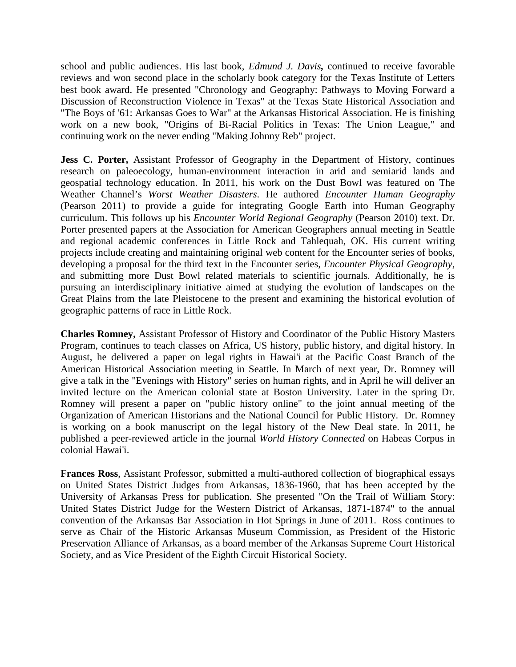school and public audiences. His last book, *Edmund J. Davis,* continued to receive favorable reviews and won second place in the scholarly book category for the Texas Institute of Letters best book award. He presented "Chronology and Geography: Pathways to Moving Forward a Discussion of Reconstruction Violence in Texas" at the Texas State Historical Association and "The Boys of '61: Arkansas Goes to War" at the Arkansas Historical Association. He is finishing work on a new book, "Origins of Bi-Racial Politics in Texas: The Union League," and continuing work on the never ending "Making Johnny Reb" project.

**Jess C. Porter,** Assistant Professor of Geography in the Department of History, continues research on paleoecology, human-environment interaction in arid and semiarid lands and geospatial technology education. In 2011, his work on the Dust Bowl was featured on The Weather Channel's *Worst Weather Disasters*. He authored *Encounter Human Geography* (Pearson 2011) to provide a guide for integrating Google Earth into Human Geography curriculum. This follows up his *Encounter World Regional Geography* (Pearson 2010) text. Dr. Porter presented papers at the Association for American Geographers annual meeting in Seattle and regional academic conferences in Little Rock and Tahlequah, OK. His current writing projects include creating and maintaining original web content for the Encounter series of books, developing a proposal for the third text in the Encounter series, *Encounter Physical Geography*, and submitting more Dust Bowl related materials to scientific journals. Additionally, he is pursuing an interdisciplinary initiative aimed at studying the evolution of landscapes on the Great Plains from the late Pleistocene to the present and examining the historical evolution of geographic patterns of race in Little Rock.

**Charles Romney,** Assistant Professor of History and Coordinator of the Public History Masters Program, continues to teach classes on Africa, US history, public history, and digital history. In August, he delivered a paper on legal rights in Hawai'i at the Pacific Coast Branch of the American Historical Association meeting in Seattle. In March of next year, Dr. Romney will give a talk in the "Evenings with History" series on human rights, and in April he will deliver an invited lecture on the American colonial state at Boston University. Later in the spring Dr. Romney will present a paper on "public history online" to the joint annual meeting of the Organization of American Historians and the National Council for Public History. Dr. Romney is working on a book manuscript on the legal history of the New Deal state. In 2011, he published a peer-reviewed article in the journal *World History Connected* on Habeas Corpus in colonial Hawai'i.

**Frances Ross**, Assistant Professor, submitted a multi-authored collection of biographical essays on United States District Judges from Arkansas, 1836-1960, that has been accepted by the University of Arkansas Press for publication. She presented "On the Trail of William Story: United States District Judge for the Western District of Arkansas, 1871-1874" to the annual convention of the Arkansas Bar Association in Hot Springs in June of 2011. Ross continues to serve as Chair of the Historic Arkansas Museum Commission, as President of the Historic Preservation Alliance of Arkansas, as a board member of the Arkansas Supreme Court Historical Society, and as Vice President of the Eighth Circuit Historical Society.